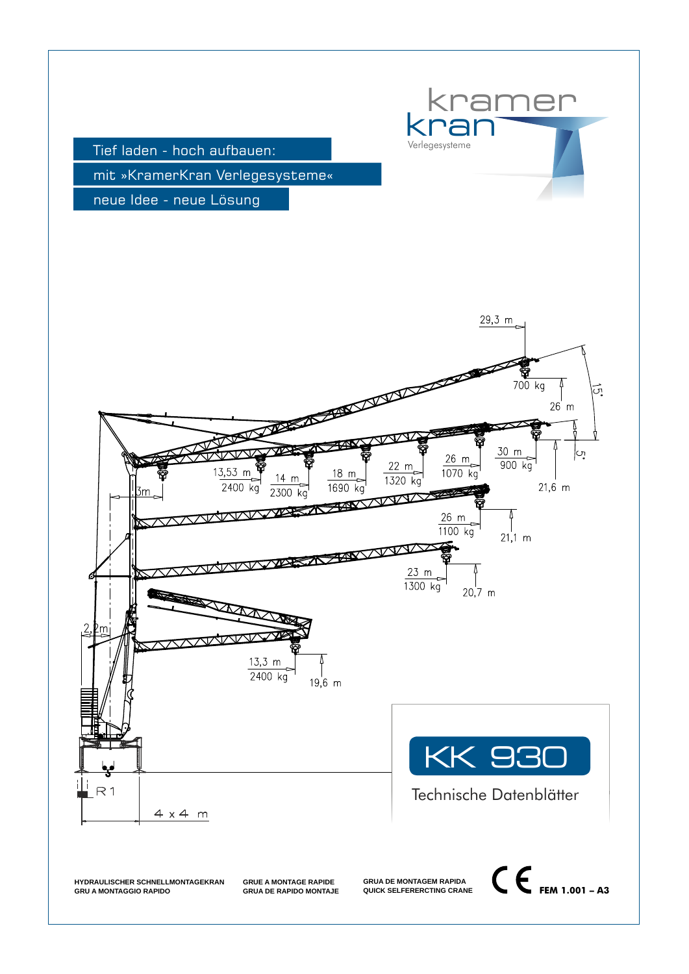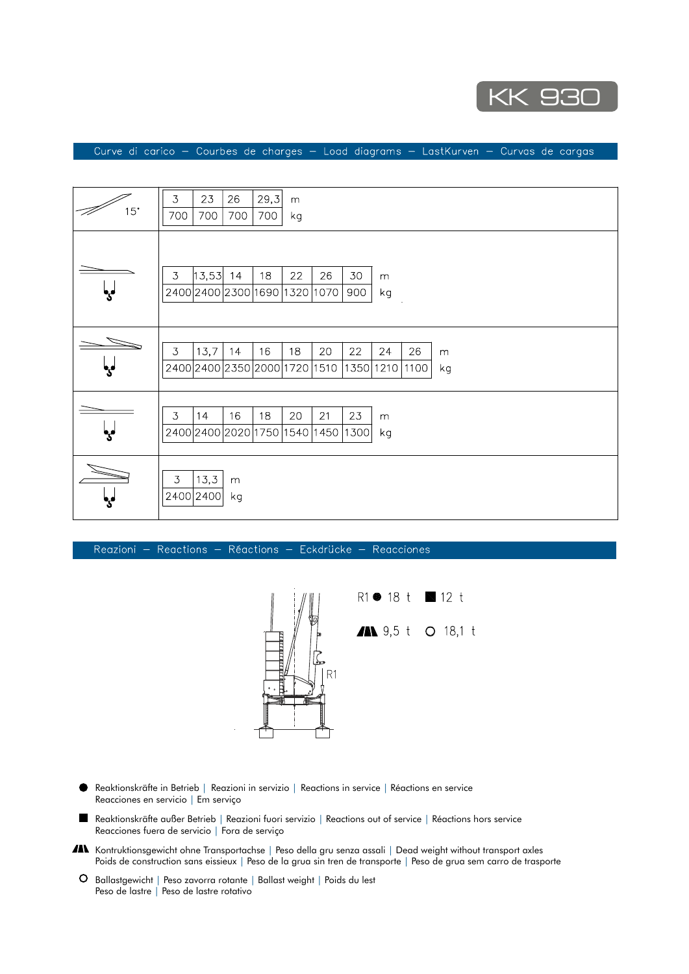

Curve di carico - Courbes de charges - Load diagrams - LastKurven - Curvas de cargas

| 15 <sup>°</sup> | 23<br>29,3<br>3<br>26<br>m<br>700<br>700<br>700<br>700<br>kg                                                                        |
|-----------------|-------------------------------------------------------------------------------------------------------------------------------------|
| یا              | $\mathfrak{Z}$<br>$ 13,53 $ 14<br>22<br>26<br>30<br>18<br>${\sf m}$<br>2400 2400 2300 1690<br>1320<br>1070<br>900<br>kg             |
|                 | 16<br>13,7<br>18<br>$\mathcal{I}$<br>14<br>20<br>22<br>24<br>26<br>m<br>2400 2400 2350 2000 1720<br>1510<br>1350 1210<br>1100<br>kg |
| یا              | 16<br>18<br>20<br>21<br>23<br>$\mathfrak{Z}$<br>14<br>m<br>2400 2400 2020 1750<br>1540<br>1450<br>1300<br>kg                        |
|                 | 13,3<br>$\mathfrak{Z}$<br>m<br>2400 2400<br>kg                                                                                      |

Reazioni -Reactions - Réactions - Eckdrücke - Reacciones



- Reaktionskräfte in Betrieb | Reazioni in servizio | Reactions in service | Réactions en service Reacciones en servicio | Em serviço
- Reaktionskräfte außer Betrieb | Reazioni fuori servizio | Reactions out of service | Réactions hors service  $\blacksquare$ Reacciones fuera de servicio | Fora de serviço
- Kontruktionsgewicht ohne Transportachse | Peso della gru senza assali | Dead weight without transport axles | Poids de construction sans eissieux | Peso de la grua sin tren de transporte | Peso de grua sem carro de trasporte
- Ballastgewicht | Peso zavorra rotante | Ballast weight | Poids du lest Peso de lastre | Peso de lastre rotativo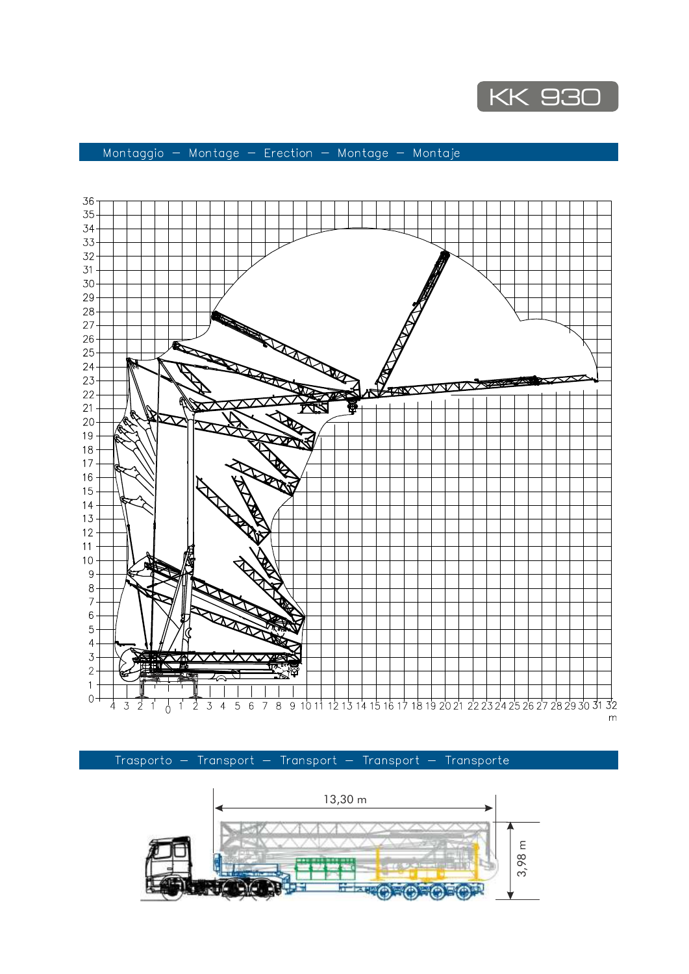

## Montaggio - Montage - Erection - Montage - Montaje